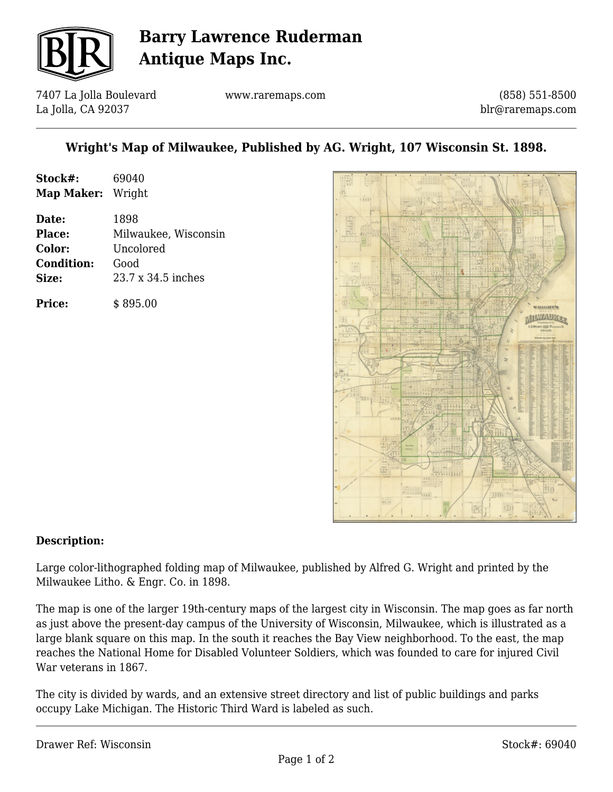

# **Barry Lawrence Ruderman Antique Maps Inc.**

7407 La Jolla Boulevard La Jolla, CA 92037

www.raremaps.com

(858) 551-8500 blr@raremaps.com

### **Wright's Map of Milwaukee, Published by AG. Wright, 107 Wisconsin St. 1898.**

| Stock#:           | 69040                |
|-------------------|----------------------|
| Map Maker: Wright |                      |
| Date:             | 1898                 |
| <b>Place:</b>     | Milwaukee, Wisconsin |
| Color:            | Uncolored            |
| <b>Condition:</b> | Good                 |
| Size:             | 23.7 x 34.5 inches   |
| <b>Price:</b>     | \$895.00             |



#### **Description:**

Large color-lithographed folding map of Milwaukee, published by Alfred G. Wright and printed by the Milwaukee Litho. & Engr. Co. in 1898.

The map is one of the larger 19th-century maps of the largest city in Wisconsin. The map goes as far north as just above the present-day campus of the University of Wisconsin, Milwaukee, which is illustrated as a large blank square on this map. In the south it reaches the Bay View neighborhood. To the east, the map reaches the National Home for Disabled Volunteer Soldiers, which was founded to care for injured Civil War veterans in 1867.

The city is divided by wards, and an extensive street directory and list of public buildings and parks occupy Lake Michigan. The Historic Third Ward is labeled as such.